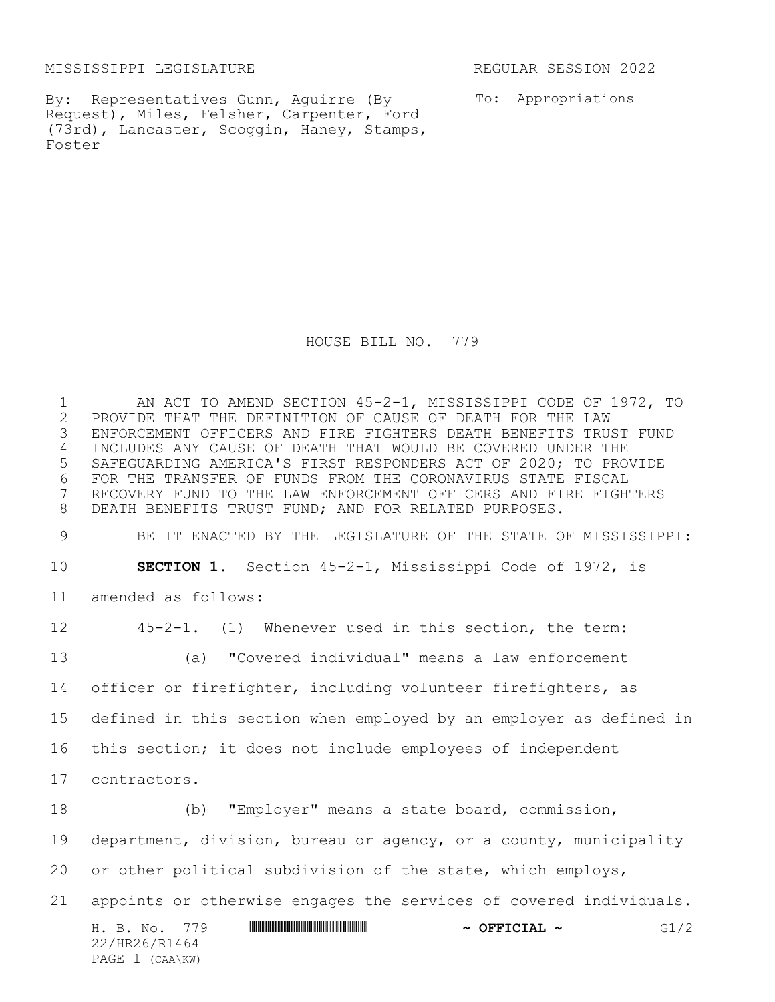MISSISSIPPI LEGISLATURE REGULAR SESSION 2022

By: Representatives Gunn, Aguirre (By Request), Miles, Felsher, Carpenter, Ford (73rd), Lancaster, Scoggin, Haney, Stamps, Foster

To: Appropriations

HOUSE BILL NO. 779

H. B. No. 779 **HRANG AND AND AND AND A SEFICIAL ~** G1/2 22/HR26/R1464 PAGE 1 (CAA\KW) 1 AN ACT TO AMEND SECTION 45-2-1, MISSISSIPPI CODE OF 1972, TO<br>2 PROVIDE THAT THE DEFINITION OF CAUSE OF DEATH FOR THE LAW 2 PROVIDE THAT THE DEFINITION OF CAUSE OF DEATH FOR THE LAW<br>3 ENFORCEMENT OFFICERS AND FIRE FIGHTERS DEATH BENEFITS TRU ENFORCEMENT OFFICERS AND FIRE FIGHTERS DEATH BENEFITS TRUST FUND INCLUDES ANY CAUSE OF DEATH THAT WOULD BE COVERED UNDER THE SAFEGUARDING AMERICA'S FIRST RESPONDERS ACT OF 2020; TO PROVIDE FOR THE TRANSFER OF FUNDS FROM THE CORONAVIRUS STATE FISCAL RECOVERY FUND TO THE LAW ENFORCEMENT OFFICERS AND FIRE FIGHTERS DEATH BENEFITS TRUST FUND; AND FOR RELATED PURPOSES. BE IT ENACTED BY THE LEGISLATURE OF THE STATE OF MISSISSIPPI: **SECTION 1.** Section 45-2-1, Mississippi Code of 1972, is amended as follows: 45-2-1. (1) Whenever used in this section, the term: (a) "Covered individual" means a law enforcement officer or firefighter, including volunteer firefighters, as defined in this section when employed by an employer as defined in this section; it does not include employees of independent contractors. (b) "Employer" means a state board, commission, department, division, bureau or agency, or a county, municipality or other political subdivision of the state, which employs, appoints or otherwise engages the services of covered individuals.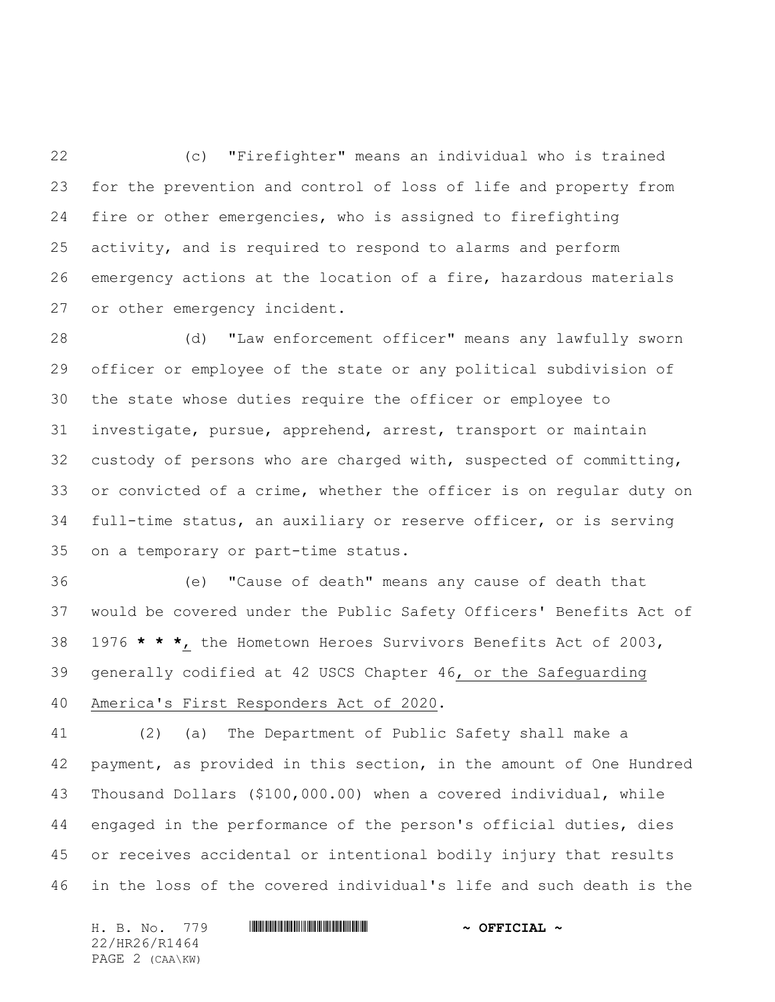(c) "Firefighter" means an individual who is trained for the prevention and control of loss of life and property from fire or other emergencies, who is assigned to firefighting activity, and is required to respond to alarms and perform emergency actions at the location of a fire, hazardous materials or other emergency incident.

 (d) "Law enforcement officer" means any lawfully sworn officer or employee of the state or any political subdivision of the state whose duties require the officer or employee to investigate, pursue, apprehend, arrest, transport or maintain custody of persons who are charged with, suspected of committing, or convicted of a crime, whether the officer is on regular duty on full-time status, an auxiliary or reserve officer, or is serving on a temporary or part-time status.

 (e) "Cause of death" means any cause of death that would be covered under the Public Safety Officers' Benefits Act of 1976 **\* \* \***, the Hometown Heroes Survivors Benefits Act of 2003, generally codified at 42 USCS Chapter 46, or the Safeguarding America's First Responders Act of 2020.

 (2) (a) The Department of Public Safety shall make a payment, as provided in this section, in the amount of One Hundred Thousand Dollars (\$100,000.00) when a covered individual, while engaged in the performance of the person's official duties, dies or receives accidental or intentional bodily injury that results in the loss of the covered individual's life and such death is the

H. B. No. 779 \*HR26/R1464\* **~ OFFICIAL ~** 22/HR26/R1464 PAGE 2 (CAA\KW)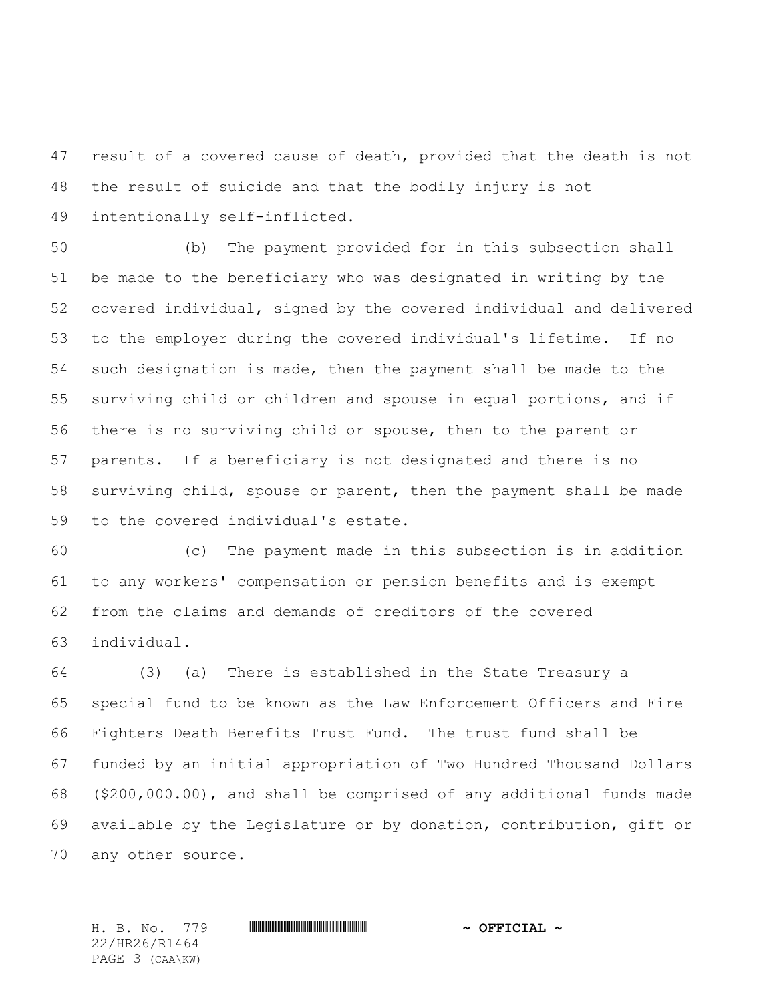result of a covered cause of death, provided that the death is not the result of suicide and that the bodily injury is not intentionally self-inflicted.

 (b) The payment provided for in this subsection shall be made to the beneficiary who was designated in writing by the covered individual, signed by the covered individual and delivered to the employer during the covered individual's lifetime. If no such designation is made, then the payment shall be made to the surviving child or children and spouse in equal portions, and if there is no surviving child or spouse, then to the parent or parents. If a beneficiary is not designated and there is no surviving child, spouse or parent, then the payment shall be made to the covered individual's estate.

 (c) The payment made in this subsection is in addition to any workers' compensation or pension benefits and is exempt from the claims and demands of creditors of the covered individual.

 (3) (a) There is established in the State Treasury a special fund to be known as the Law Enforcement Officers and Fire Fighters Death Benefits Trust Fund. The trust fund shall be funded by an initial appropriation of Two Hundred Thousand Dollars (\$200,000.00), and shall be comprised of any additional funds made available by the Legislature or by donation, contribution, gift or any other source.

22/HR26/R1464 PAGE 3 (CAA\KW)

H. B. No. 779 \*HR26/R1464\* **~ OFFICIAL ~**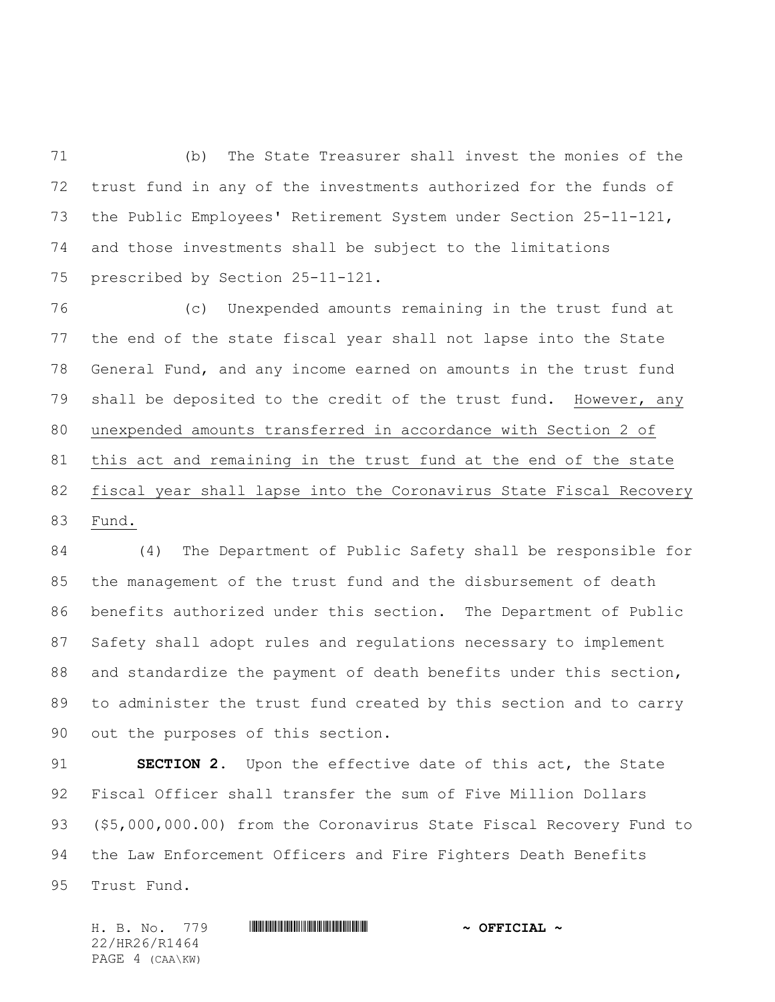(b) The State Treasurer shall invest the monies of the trust fund in any of the investments authorized for the funds of the Public Employees' Retirement System under Section 25-11-121, and those investments shall be subject to the limitations prescribed by Section 25-11-121.

 (c) Unexpended amounts remaining in the trust fund at the end of the state fiscal year shall not lapse into the State General Fund, and any income earned on amounts in the trust fund shall be deposited to the credit of the trust fund. However, any unexpended amounts transferred in accordance with Section 2 of this act and remaining in the trust fund at the end of the state fiscal year shall lapse into the Coronavirus State Fiscal Recovery Fund.

 (4) The Department of Public Safety shall be responsible for the management of the trust fund and the disbursement of death benefits authorized under this section. The Department of Public Safety shall adopt rules and regulations necessary to implement and standardize the payment of death benefits under this section, to administer the trust fund created by this section and to carry out the purposes of this section.

 **SECTION 2.** Upon the effective date of this act, the State Fiscal Officer shall transfer the sum of Five Million Dollars (\$5,000,000.00) from the Coronavirus State Fiscal Recovery Fund to the Law Enforcement Officers and Fire Fighters Death Benefits Trust Fund.

H. B. No. 779 \*HR26/R1464\* **~ OFFICIAL ~** 22/HR26/R1464 PAGE 4 (CAA\KW)